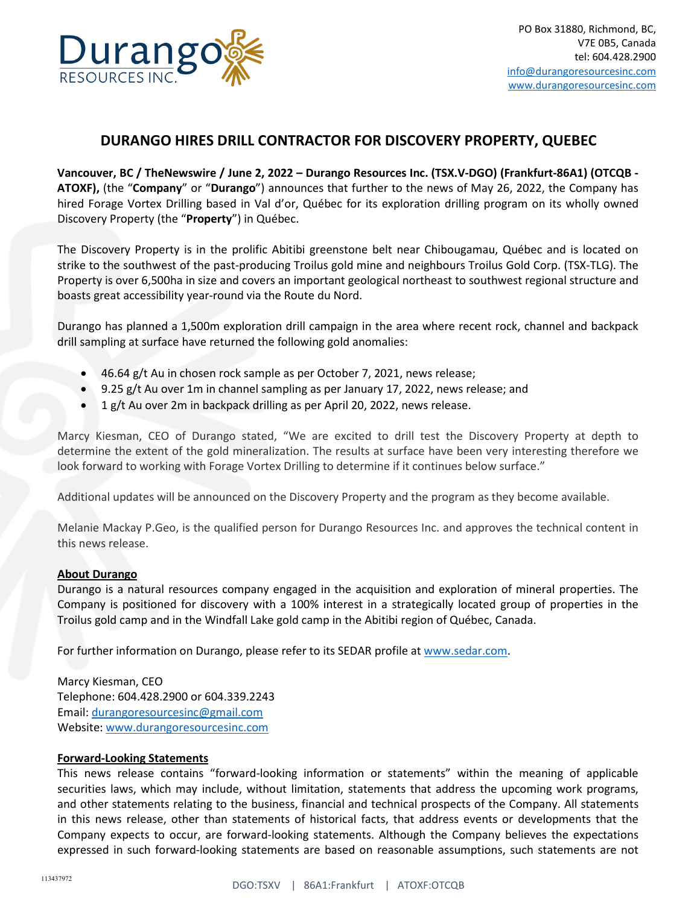

## **DURANGO HIRES DRILL CONTRACTOR FOR DISCOVERY PROPERTY, QUEBEC**

**Vancouver, BC / TheNewswire / June 2, 2022 – Durango Resources Inc. (TSX.V-DGO) (Frankfurt-86A1) (OTCQB - ATOXF),** (the "**Company**" or "**Durango**") announces that further to the news of May 26, 2022, the Company has hired Forage Vortex Drilling based in Val d'or, Québec for its exploration drilling program on its wholly owned Discovery Property (the "**Property**") in Québec.

The Discovery Property is in the prolific Abitibi greenstone belt near Chibougamau, Québec and is located on strike to the southwest of the past-producing Troilus gold mine and neighbours Troilus Gold Corp. (TSX-TLG). The Property is over 6,500ha in size and covers an important geological northeast to southwest regional structure and boasts great accessibility year-round via the Route du Nord.

Durango has planned a 1,500m exploration drill campaign in the area where recent rock, channel and backpack drill sampling at surface have returned the following gold anomalies:

- 46.64 g/t Au in chosen rock sample as per October 7, 2021, news release;
- 9.25 g/t Au over 1m in channel sampling as per January 17, 2022, news release; and
- 1 g/t Au over 2m in backpack drilling as per April 20, 2022, news release.

Marcy Kiesman, CEO of Durango stated, "We are excited to drill test the Discovery Property at depth to determine the extent of the gold mineralization. The results at surface have been very interesting therefore we look forward to working with Forage Vortex Drilling to determine if it continues below surface."

Additional updates will be announced on the Discovery Property and the program as they become available.

Melanie Mackay P.Geo, is the qualified person for Durango Resources Inc. and approves the technical content in this news release.

## **About Durango**

Durango is a natural resources company engaged in the acquisition and exploration of mineral properties. The Company is positioned for discovery with a 100% interest in a strategically located group of properties in the Troilus gold camp and in the Windfall Lake gold camp in the Abitibi region of Québec, Canada.

For further information on Durango, please refer to its SEDAR profile at [www.sedar.com.](http://www.sedar.com/)

Marcy Kiesman, CEO Telephone: 604.428.2900 or 604.339.2243 Email: [durangoresourcesinc@gmail.com](mailto:durangoresourcesinc@gmail.com) Website[: www.durangoresourcesinc.com](http://www.durangoresourcesinc.com/)

## **Forward-Looking Statements**

This news release contains "forward-looking information or statements" within the meaning of applicable securities laws, which may include, without limitation, statements that address the upcoming work programs, and other statements relating to the business, financial and technical prospects of the Company. All statements in this news release, other than statements of historical facts, that address events or developments that the Company expects to occur, are forward-looking statements. Although the Company believes the expectations expressed in such forward-looking statements are based on reasonable assumptions, such statements are not